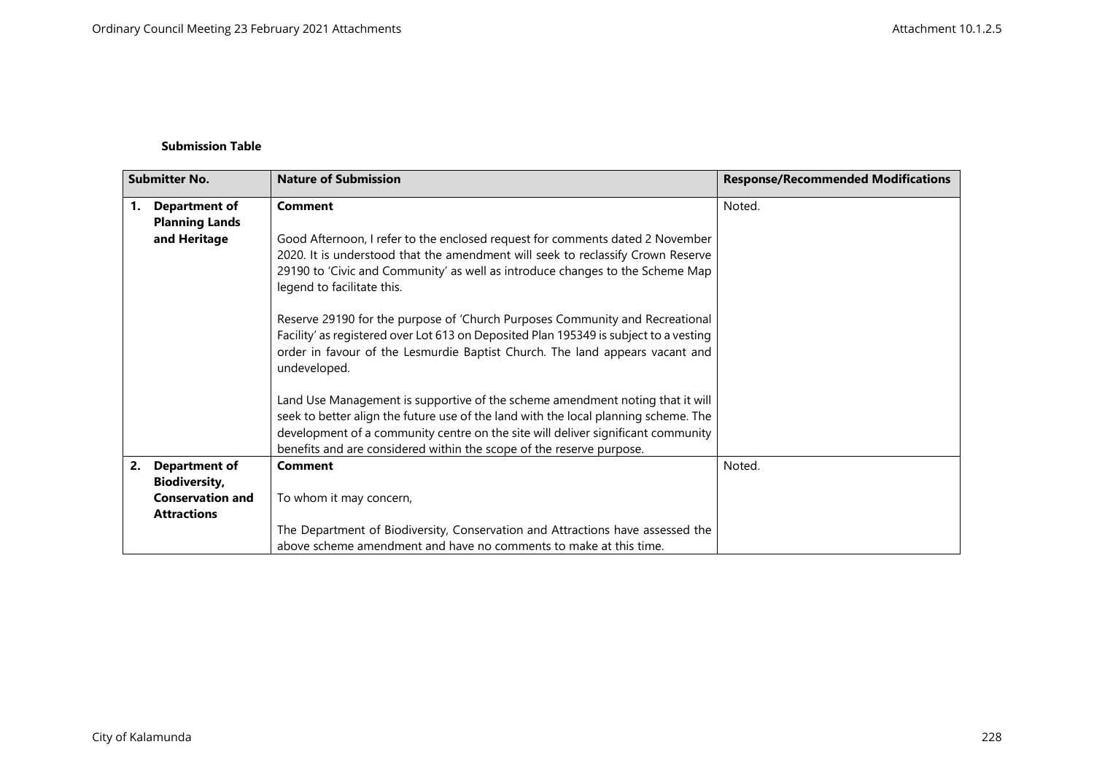## **Submission Table**

| <b>Submitter No.</b> |                                                                       | <b>Nature of Submission</b>                                                                                                                                                                                                                                                                                                      | <b>Response/Recommended Modifications</b> |
|----------------------|-----------------------------------------------------------------------|----------------------------------------------------------------------------------------------------------------------------------------------------------------------------------------------------------------------------------------------------------------------------------------------------------------------------------|-------------------------------------------|
| 1.                   | <b>Department of</b><br><b>Planning Lands</b>                         | <b>Comment</b>                                                                                                                                                                                                                                                                                                                   | Noted.                                    |
|                      | and Heritage                                                          | Good Afternoon, I refer to the enclosed request for comments dated 2 November<br>2020. It is understood that the amendment will seek to reclassify Crown Reserve<br>29190 to 'Civic and Community' as well as introduce changes to the Scheme Map<br>legend to facilitate this.                                                  |                                           |
|                      |                                                                       | Reserve 29190 for the purpose of 'Church Purposes Community and Recreational<br>Facility' as registered over Lot 613 on Deposited Plan 195349 is subject to a vesting<br>order in favour of the Lesmurdie Baptist Church. The land appears vacant and<br>undeveloped.                                                            |                                           |
|                      |                                                                       | Land Use Management is supportive of the scheme amendment noting that it will<br>seek to better align the future use of the land with the local planning scheme. The<br>development of a community centre on the site will deliver significant community<br>benefits and are considered within the scope of the reserve purpose. |                                           |
| 2.                   | <b>Department of</b>                                                  | <b>Comment</b>                                                                                                                                                                                                                                                                                                                   | Noted.                                    |
|                      | <b>Biodiversity,</b><br><b>Conservation and</b><br><b>Attractions</b> | To whom it may concern,                                                                                                                                                                                                                                                                                                          |                                           |
|                      |                                                                       | The Department of Biodiversity, Conservation and Attractions have assessed the<br>above scheme amendment and have no comments to make at this time.                                                                                                                                                                              |                                           |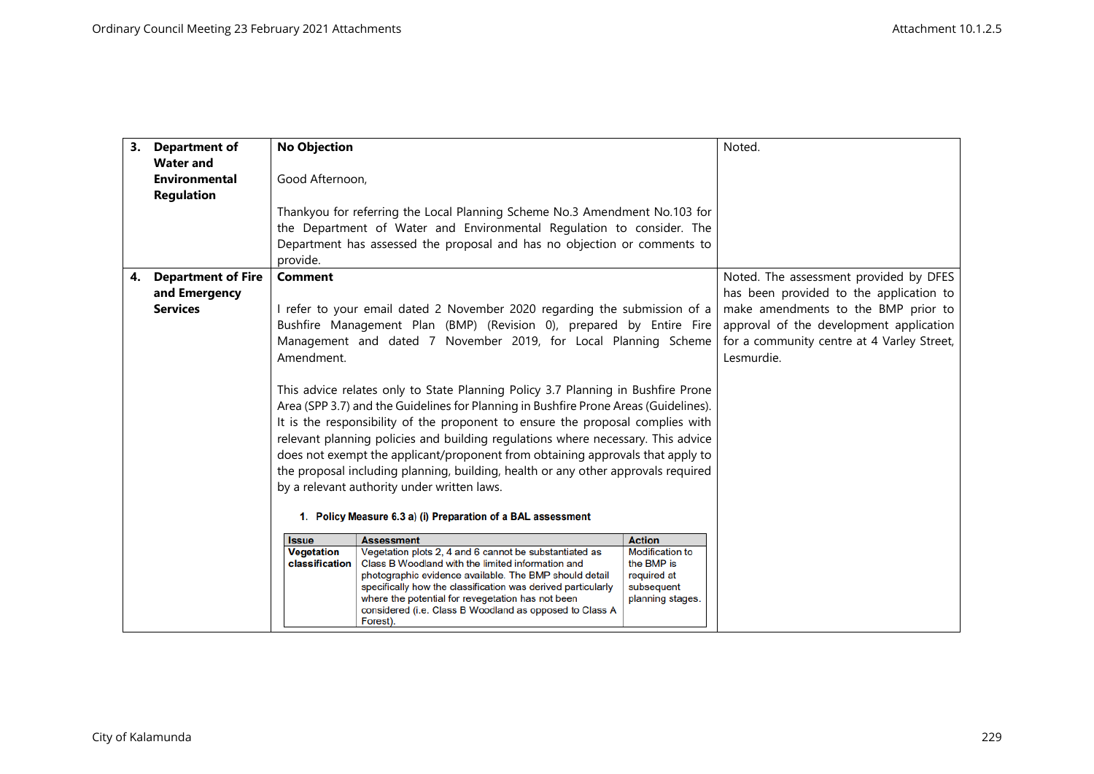|    | 3. Department of          | <b>No Objection</b>                                                                                                                                                 |                                                                                                              |                                      | Noted.                                     |
|----|---------------------------|---------------------------------------------------------------------------------------------------------------------------------------------------------------------|--------------------------------------------------------------------------------------------------------------|--------------------------------------|--------------------------------------------|
|    | <b>Water and</b>          |                                                                                                                                                                     |                                                                                                              |                                      |                                            |
|    | <b>Environmental</b>      | Good Afternoon,                                                                                                                                                     |                                                                                                              |                                      |                                            |
|    | <b>Regulation</b>         |                                                                                                                                                                     |                                                                                                              |                                      |                                            |
|    |                           | Thankyou for referring the Local Planning Scheme No.3 Amendment No.103 for                                                                                          |                                                                                                              |                                      |                                            |
|    |                           |                                                                                                                                                                     | the Department of Water and Environmental Regulation to consider. The                                        |                                      |                                            |
|    |                           |                                                                                                                                                                     | Department has assessed the proposal and has no objection or comments to                                     |                                      |                                            |
|    |                           | provide.                                                                                                                                                            |                                                                                                              |                                      |                                            |
| 4. | <b>Department of Fire</b> | <b>Comment</b>                                                                                                                                                      |                                                                                                              |                                      | Noted. The assessment provided by DFES     |
|    | and Emergency             |                                                                                                                                                                     |                                                                                                              |                                      | has been provided to the application to    |
|    | <b>Services</b>           |                                                                                                                                                                     | I refer to your email dated 2 November 2020 regarding the submission of a                                    |                                      | make amendments to the BMP prior to        |
|    |                           |                                                                                                                                                                     | Bushfire Management Plan (BMP) (Revision 0), prepared by Entire Fire                                         |                                      | approval of the development application    |
|    |                           |                                                                                                                                                                     | Management and dated 7 November 2019, for Local Planning Scheme                                              |                                      | for a community centre at 4 Varley Street, |
|    |                           | Amendment.                                                                                                                                                          |                                                                                                              |                                      | Lesmurdie.                                 |
|    |                           |                                                                                                                                                                     |                                                                                                              |                                      |                                            |
|    |                           | This advice relates only to State Planning Policy 3.7 Planning in Bushfire Prone                                                                                    |                                                                                                              |                                      |                                            |
|    |                           | Area (SPP 3.7) and the Guidelines for Planning in Bushfire Prone Areas (Guidelines).                                                                                |                                                                                                              |                                      |                                            |
|    |                           | It is the responsibility of the proponent to ensure the proposal complies with                                                                                      |                                                                                                              |                                      |                                            |
|    |                           | relevant planning policies and building regulations where necessary. This advice                                                                                    |                                                                                                              |                                      |                                            |
|    |                           | does not exempt the applicant/proponent from obtaining approvals that apply to<br>the proposal including planning, building, health or any other approvals required |                                                                                                              |                                      |                                            |
|    |                           |                                                                                                                                                                     |                                                                                                              |                                      |                                            |
|    |                           | by a relevant authority under written laws.                                                                                                                         |                                                                                                              |                                      |                                            |
|    |                           | 1. Policy Measure 6.3 a) (i) Preparation of a BAL assessment                                                                                                        |                                                                                                              |                                      |                                            |
|    |                           | <b>Issue</b>                                                                                                                                                        | <b>Assessment</b>                                                                                            | <b>Action</b>                        |                                            |
|    |                           | <b>Vegetation</b>                                                                                                                                                   | Vegetation plots 2, 4 and 6 cannot be substantiated as                                                       | <b>Modification to</b><br>the BMP is |                                            |
|    |                           | classification                                                                                                                                                      | Class B Woodland with the limited information and<br>photographic evidence available. The BMP should detail  | required at                          |                                            |
|    |                           |                                                                                                                                                                     | specifically how the classification was derived particularly                                                 | subsequent                           |                                            |
|    |                           |                                                                                                                                                                     | where the potential for revegetation has not been<br>considered (i.e. Class B Woodland as opposed to Class A | planning stages.                     |                                            |
|    |                           |                                                                                                                                                                     | Forest).                                                                                                     |                                      |                                            |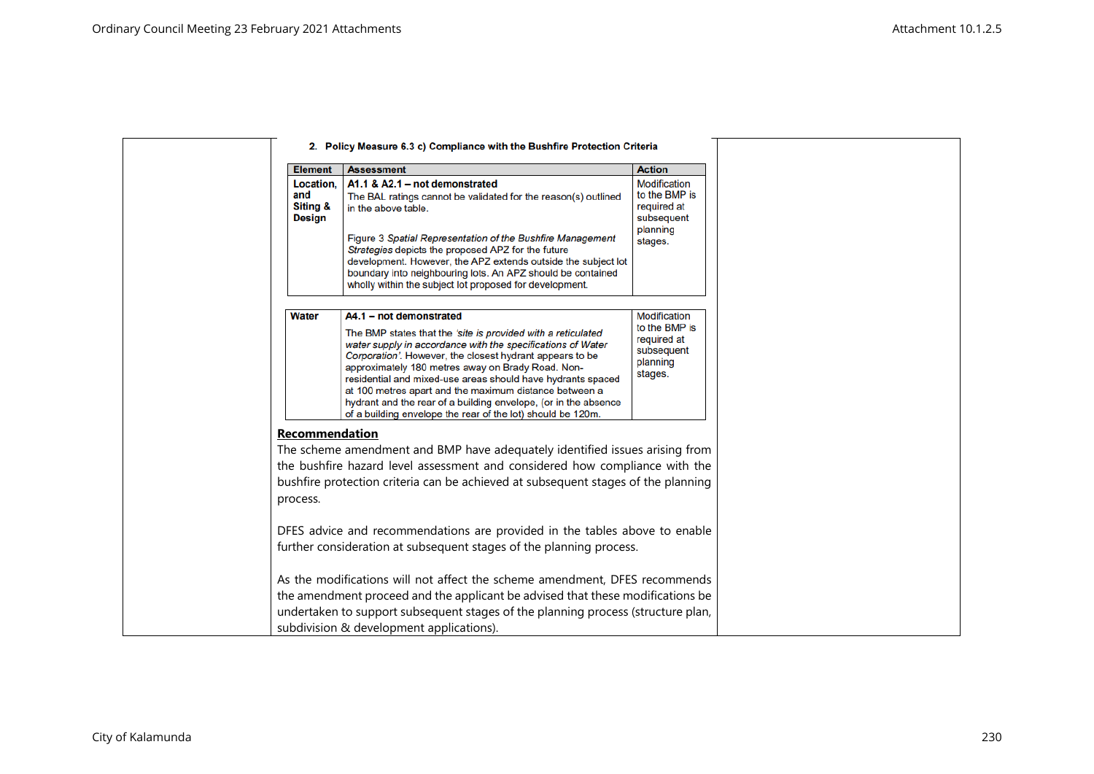|                                               | 2. Policy Measure 6.3 c) Compliance with the Bushfire Protection Criteria                                                                                                                                                                                                                                                                                                                                                                                                                                                          |                                                                                          |  |
|-----------------------------------------------|------------------------------------------------------------------------------------------------------------------------------------------------------------------------------------------------------------------------------------------------------------------------------------------------------------------------------------------------------------------------------------------------------------------------------------------------------------------------------------------------------------------------------------|------------------------------------------------------------------------------------------|--|
| <b>Element</b>                                | <b>Assessment</b>                                                                                                                                                                                                                                                                                                                                                                                                                                                                                                                  | <b>Action</b>                                                                            |  |
| Location.<br>and<br>Siting &<br><b>Design</b> | A1.1 & A2.1 - not demonstrated<br>The BAL ratings cannot be validated for the reason(s) outlined<br>in the above table.<br>Figure 3 Spatial Representation of the Bushfire Management<br>Strategies depicts the proposed APZ for the future<br>development. However, the APZ extends outside the subject lot<br>boundary into neighbouring lots. An APZ should be contained<br>wholly within the subject lot proposed for development.                                                                                             | <b>Modification</b><br>to the BMP is<br>required at<br>subsequent<br>planning<br>stages. |  |
| <b>Water</b>                                  | A4.1 - not demonstrated<br>The BMP states that the 'site is provided with a reticulated<br>water supply in accordance with the specifications of Water<br>Corporation'. However, the closest hydrant appears to be<br>approximately 180 metres away on Brady Road. Non-<br>residential and mixed-use areas should have hydrants spaced<br>at 100 metres apart and the maximum distance between a<br>hydrant and the rear of a building envelope, (or in the absence<br>of a building envelope the rear of the lot) should be 120m. | Modification<br>to the BMP is<br>required at<br>subsequent<br>planning<br>stages.        |  |
| <b>Recommendation</b>                         |                                                                                                                                                                                                                                                                                                                                                                                                                                                                                                                                    |                                                                                          |  |
| process.                                      | The scheme amendment and BMP have adequately identified issues arising from<br>the bushfire hazard level assessment and considered how compliance with the<br>bushfire protection criteria can be achieved at subsequent stages of the planning                                                                                                                                                                                                                                                                                    |                                                                                          |  |
|                                               | DFES advice and recommendations are provided in the tables above to enable<br>further consideration at subsequent stages of the planning process.                                                                                                                                                                                                                                                                                                                                                                                  |                                                                                          |  |
|                                               | As the modifications will not affect the scheme amendment, DFES recommends<br>the amendment proceed and the applicant be advised that these modifications be<br>undertaken to support subsequent stages of the planning process (structure plan,<br>subdivision & development applications).                                                                                                                                                                                                                                       |                                                                                          |  |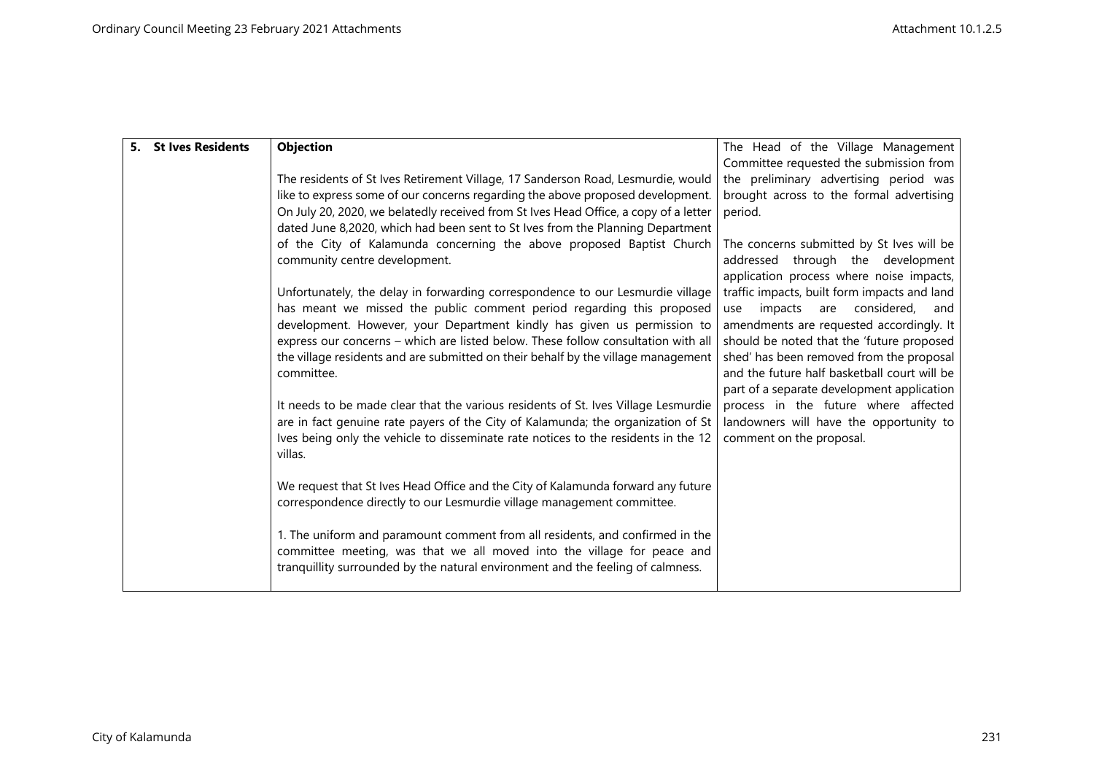| 5. St Ives Residents | Objection                                                                                     | The Head of the Village Management           |
|----------------------|-----------------------------------------------------------------------------------------------|----------------------------------------------|
|                      |                                                                                               | Committee requested the submission from      |
|                      | The residents of St Ives Retirement Village, 17 Sanderson Road, Lesmurdie, would              | the preliminary advertising period was       |
|                      | like to express some of our concerns regarding the above proposed development.                | brought across to the formal advertising     |
|                      | On July 20, 2020, we belatedly received from St Ives Head Office, a copy of a letter          | period.                                      |
|                      | dated June 8,2020, which had been sent to St Ives from the Planning Department                |                                              |
|                      | of the City of Kalamunda concerning the above proposed Baptist Church                         | The concerns submitted by St Ives will be    |
|                      | community centre development.                                                                 | addressed through the development            |
|                      |                                                                                               | application process where noise impacts,     |
|                      | Unfortunately, the delay in forwarding correspondence to our Lesmurdie village                | traffic impacts, built form impacts and land |
|                      | has meant we missed the public comment period regarding this proposed                         | considered,<br>impacts<br>are<br>use<br>and  |
|                      | development. However, your Department kindly has given us permission to                       | amendments are requested accordingly. It     |
|                      | express our concerns - which are listed below. These follow consultation with all             | should be noted that the 'future proposed    |
|                      | the village residents and are submitted on their behalf by the village management             | shed' has been removed from the proposal     |
|                      | committee.                                                                                    | and the future half basketball court will be |
|                      |                                                                                               | part of a separate development application   |
|                      | It needs to be made clear that the various residents of St. Ives Village Lesmurdie            | process in the future where affected         |
|                      | are in fact genuine rate payers of the City of Kalamunda; the organization of St              | landowners will have the opportunity to      |
|                      | Ives being only the vehicle to disseminate rate notices to the residents in the 12<br>villas. | comment on the proposal.                     |
|                      |                                                                                               |                                              |
|                      | We request that St Ives Head Office and the City of Kalamunda forward any future              |                                              |
|                      | correspondence directly to our Lesmurdie village management committee.                        |                                              |
|                      |                                                                                               |                                              |
|                      | 1. The uniform and paramount comment from all residents, and confirmed in the                 |                                              |
|                      | committee meeting, was that we all moved into the village for peace and                       |                                              |
|                      | tranquillity surrounded by the natural environment and the feeling of calmness.               |                                              |
|                      |                                                                                               |                                              |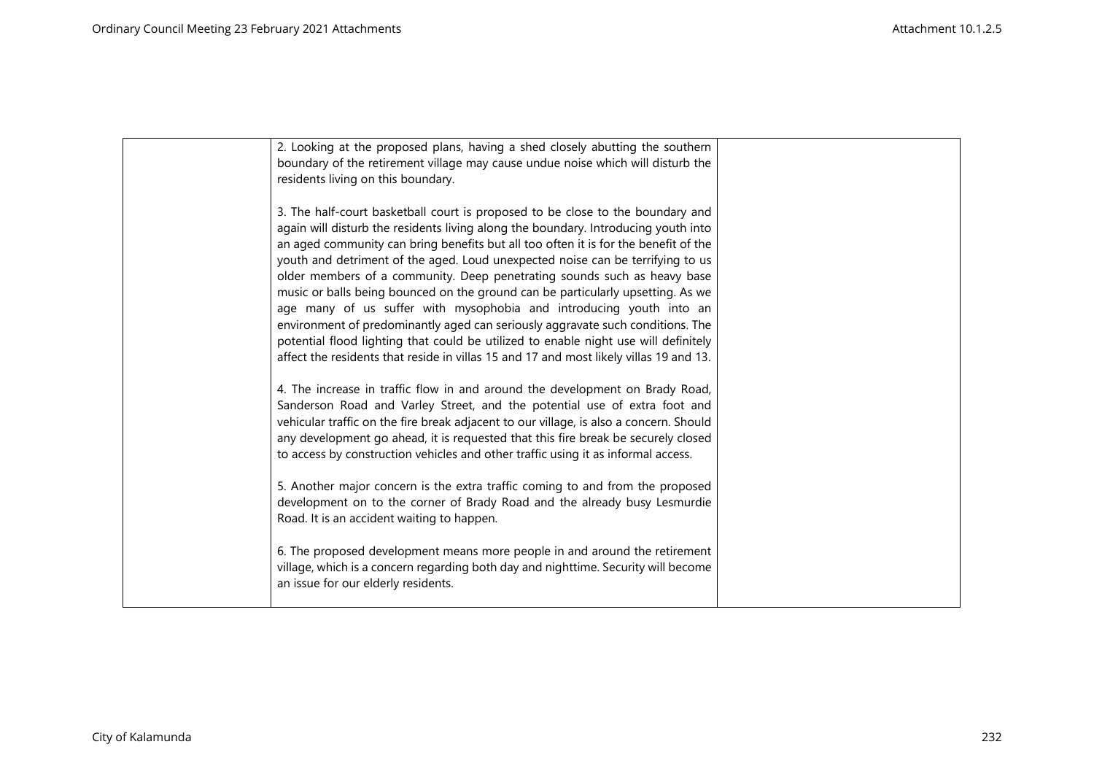| 2. Looking at the proposed plans, having a shed closely abutting the southern          |  |
|----------------------------------------------------------------------------------------|--|
| boundary of the retirement village may cause undue noise which will disturb the        |  |
| residents living on this boundary.                                                     |  |
|                                                                                        |  |
|                                                                                        |  |
| 3. The half-court basketball court is proposed to be close to the boundary and         |  |
| again will disturb the residents living along the boundary. Introducing youth into     |  |
| an aged community can bring benefits but all too often it is for the benefit of the    |  |
| youth and detriment of the aged. Loud unexpected noise can be terrifying to us         |  |
| older members of a community. Deep penetrating sounds such as heavy base               |  |
| music or balls being bounced on the ground can be particularly upsetting. As we        |  |
| age many of us suffer with mysophobia and introducing youth into an                    |  |
| environment of predominantly aged can seriously aggravate such conditions. The         |  |
|                                                                                        |  |
| potential flood lighting that could be utilized to enable night use will definitely    |  |
| affect the residents that reside in villas 15 and 17 and most likely villas 19 and 13. |  |
|                                                                                        |  |
| 4. The increase in traffic flow in and around the development on Brady Road,           |  |
| Sanderson Road and Varley Street, and the potential use of extra foot and              |  |
| vehicular traffic on the fire break adjacent to our village, is also a concern. Should |  |
| any development go ahead, it is requested that this fire break be securely closed      |  |
| to access by construction vehicles and other traffic using it as informal access.      |  |
|                                                                                        |  |
| 5. Another major concern is the extra traffic coming to and from the proposed          |  |
|                                                                                        |  |
| development on to the corner of Brady Road and the already busy Lesmurdie              |  |
| Road. It is an accident waiting to happen.                                             |  |
|                                                                                        |  |
| 6. The proposed development means more people in and around the retirement             |  |
| village, which is a concern regarding both day and nighttime. Security will become     |  |
| an issue for our elderly residents.                                                    |  |
|                                                                                        |  |
|                                                                                        |  |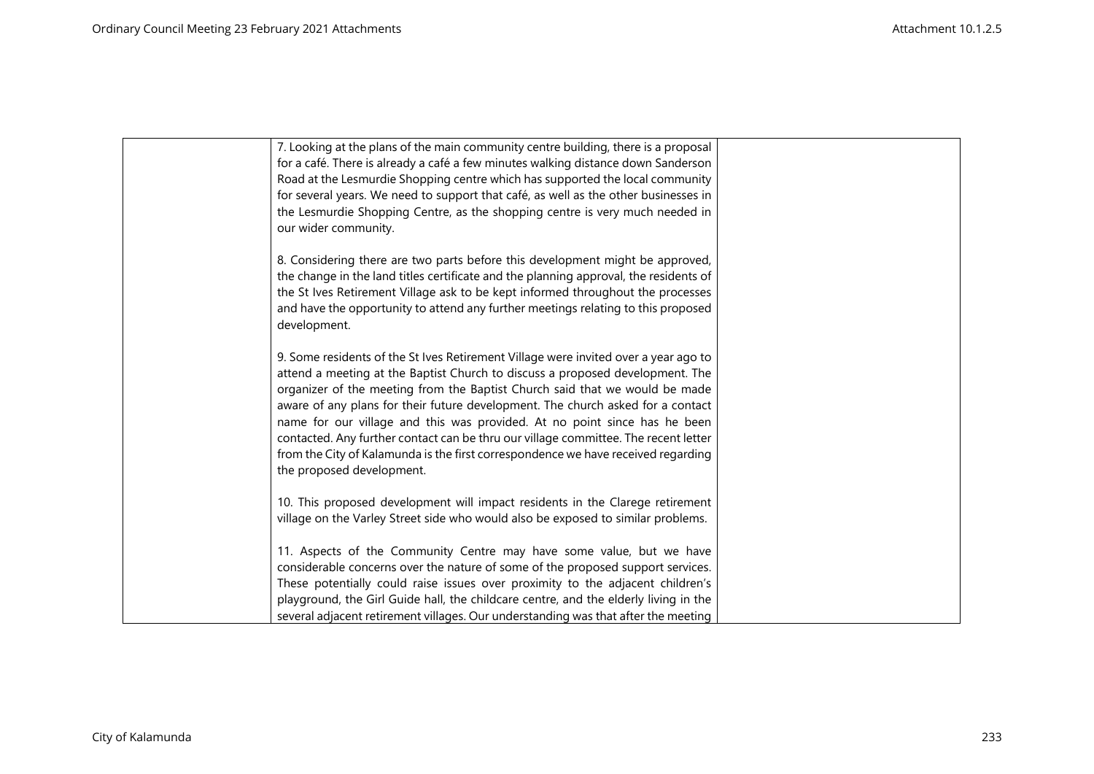| 7. Looking at the plans of the main community centre building, there is a proposal    |  |
|---------------------------------------------------------------------------------------|--|
| for a café. There is already a café a few minutes walking distance down Sanderson     |  |
| Road at the Lesmurdie Shopping centre which has supported the local community         |  |
| for several years. We need to support that café, as well as the other businesses in   |  |
| the Lesmurdie Shopping Centre, as the shopping centre is very much needed in          |  |
| our wider community.                                                                  |  |
|                                                                                       |  |
| 8. Considering there are two parts before this development might be approved,         |  |
| the change in the land titles certificate and the planning approval, the residents of |  |
| the St Ives Retirement Village ask to be kept informed throughout the processes       |  |
| and have the opportunity to attend any further meetings relating to this proposed     |  |
| development.                                                                          |  |
|                                                                                       |  |
| 9. Some residents of the St Ives Retirement Village were invited over a year ago to   |  |
| attend a meeting at the Baptist Church to discuss a proposed development. The         |  |
| organizer of the meeting from the Baptist Church said that we would be made           |  |
| aware of any plans for their future development. The church asked for a contact       |  |
| name for our village and this was provided. At no point since has he been             |  |
| contacted. Any further contact can be thru our village committee. The recent letter   |  |
| from the City of Kalamunda is the first correspondence we have received regarding     |  |
| the proposed development.                                                             |  |
|                                                                                       |  |
| 10. This proposed development will impact residents in the Clarege retirement         |  |
| village on the Varley Street side who would also be exposed to similar problems.      |  |
| 11. Aspects of the Community Centre may have some value, but we have                  |  |
| considerable concerns over the nature of some of the proposed support services.       |  |
| These potentially could raise issues over proximity to the adjacent children's        |  |
| playground, the Girl Guide hall, the childcare centre, and the elderly living in the  |  |
| several adjacent retirement villages. Our understanding was that after the meeting    |  |
|                                                                                       |  |